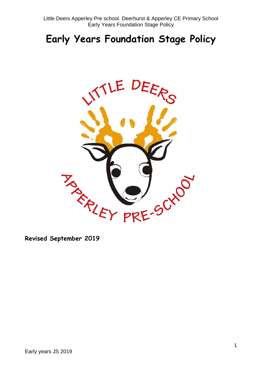Little Deers Apperley Pre school. Deerhurst & Apperley CE Primary School Early Years Foundation Stage Policy

# **Early Years Foundation Stage Policy**



**Revised September 2019**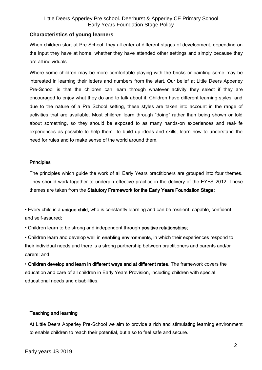# Little Deers Apperley Pre school. Deerhurst & Apperley CE Primary School Early Years Foundation Stage Policy

## **Characteristics of young learners**

When children start at Pre School, they all enter at different stages of development, depending on the input they have at home, whether they have attended other settings and simply because they are all individuals.

Where some children may be more comfortable playing with the bricks or painting some may be interested in learning their letters and numbers from the start. Our belief at Little Deers Apperley Pre-School is that the children can learn through whatever activity they select if they are encouraged to enjoy what they do and to talk about it. Children have different learning styles, and due to the nature of a Pre School setting, these styles are taken into account in the range of activities that are available. Most children learn through "doing" rather than being shown or told about something, so they should be exposed to as many hands-on experiences and real-life experiences as possible to help them to build up ideas and skills, learn how to understand the need for rules and to make sense of the world around them.

#### **Principles**

The principles which guide the work of all Early Years practitioners are grouped into four themes. They should work together to underpin effective practice in the delivery of the EYFS 2012. These themes are taken from the Statutory Framework for the Early Years Foundation Stage:

• Every child is a unique child, who is constantly learning and can be resilient, capable, confident and self-assured;

• Children learn to be strong and independent through positive relationships;

• Children learn and develop well in enabling environments, in which their experiences respond to their individual needs and there is a strong partnership between practitioners and parents and/or carers; and

• Children develop and learn in different ways and at different rates. The framework covers the education and care of all children in Early Years Provision, including children with special educational needs and disabilities.

# Teaching and learning

At Little Deers Apperley Pre-School we aim to provide a rich and stimulating learning environment to enable children to reach their potential, but also to feel safe and secure.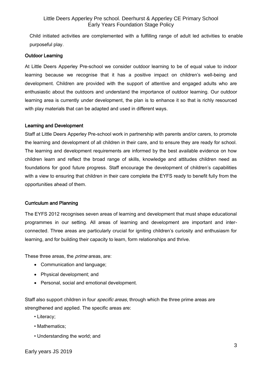Child initiated activities are complemented with a fulfilling range of adult led activities to enable purposeful play.

## Outdoor Learning

At Little Deers Apperley Pre-school we consider outdoor learning to be of equal value to indoor learning because we recognise that it has a positive impact on children's well-being and development. Children are provided with the support of attentive and engaged adults who are enthusiastic about the outdoors and understand the importance of outdoor learning. Our outdoor learning area is currently under development, the plan is to enhance it so that is richly resourced with play materials that can be adapted and used in different ways.

## Learning and Development

Staff at Little Deers Apperley Pre-school work in partnership with parents and/or carers, to promote the learning and development of all children in their care, and to ensure they are ready for school. The learning and development requirements are informed by the best available evidence on how children learn and reflect the broad range of skills, knowledge and attitudes children need as foundations for good future progress. Staff encourage the development of children's capabilities with a view to ensuring that children in their care complete the EYFS ready to benefit fully from the opportunities ahead of them.

# Curriculum and Planning

The EYFS 2012 recognises seven areas of learning and development that must shape educational programmes in our setting. All areas of learning and development are important and interconnected. Three areas are particularly crucial for igniting children's curiosity and enthusiasm for learning, and for building their capacity to learn, form relationships and thrive.

These three areas, the *prime* areas, are:

- Communication and language;
- Physical development; and
- Personal, social and emotional development.

Staff also support children in four *specific areas*, through which the three prime areas are strengthened and applied. The specific areas are:

- Literacy;
- Mathematics;
- Understanding the world; and

Early years JS 2019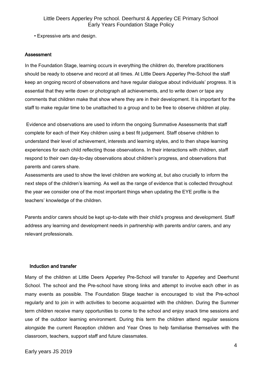• Expressive arts and design.

#### Assessment

In the Foundation Stage, learning occurs in everything the children do, therefore practitioners should be ready to observe and record at all times. At Little Deers Apperley Pre-School the staff keep an ongoing record of observations and have regular dialogue about individuals' progress. It is essential that they write down or photograph all achievements, and to write down or tape any comments that children make that show where they are in their development. It is important for the staff to make regular time to be unattached to a group and to be free to observe children at play.

Evidence and observations are used to inform the ongoing Summative Assessments that staff complete for each of their Key children using a best fit judgement. Staff observe children to understand their level of achievement, interests and learning styles, and to then shape learning experiences for each child reflecting those observations. In their interactions with children, staff respond to their own day-to-day observations about children's progress, and observations that parents and carers share.

Assessments are used to show the level children are working at, but also crucially to inform the next steps of the children's learning. As well as the range of evidence that is collected throughout the year we consider one of the most important things when updating the EYE profile is the teachers' knowledge of the children.

Parents and/or carers should be kept up-to-date with their child's progress and development. Staff address any learning and development needs in partnership with parents and/or carers, and any relevant professionals.

#### Induction and transfer

Many of the children at Little Deers Apperley Pre-School will transfer to Apperley and Deerhurst School. The school and the Pre-school have strong links and attempt to involve each other in as many events as possible. The Foundation Stage teacher is encouraged to visit the Pre-school regularly and to join in with activities to become acquainted with the children. During the Summer term children receive many opportunities to come to the school and enjoy snack time sessions and use of the outdoor learning environment. During this term the children attend regular sessions alongside the current Reception children and Year Ones to help familiarise themselves with the classroom, teachers, support staff and future classmates.